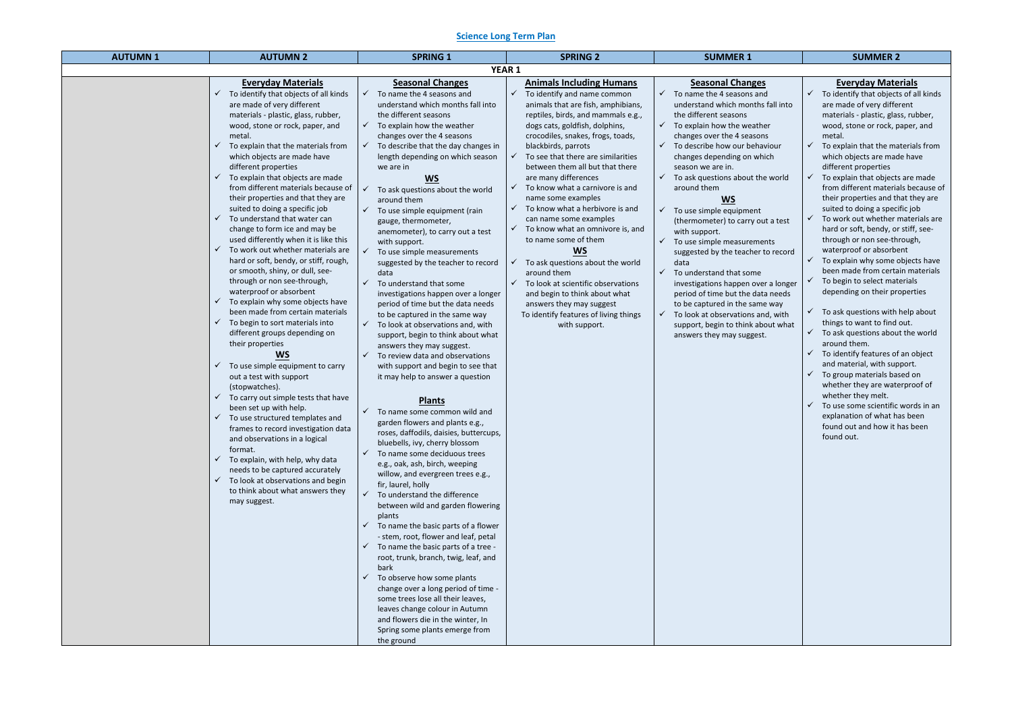### **Science Long Term Plan**

| <b>AUTUMN1</b> | <b>AUTUMN 2</b>                                                                                                                                                                                                                                                                                                                                                                                                                                                                                                                                                                                                                                                                                                                                                                                                                                                                                                                                                                                                                                                                                                                                                                                                                                                                                                                                               | <b>SPRING 1</b>                                                                                                                                                                                                                                                                                                                                                                                                                                                                                                                                                                                                                                                                                                                                                                                                                                                                                                                                                                                                                                                                                                                                                                                                                                                                                                                                                                                                                                                                                                                                                                                                                                                                                                                                                                                                                 | <b>SPRING 2</b>                                                                                                                                                                                                                                                                                                                                                                                                                                                                                                                                                                                                                                                                                                                                                                       | <b>SUMMER 1</b>                                                                                                                                                                                                                                                                                                                                                                                                                                                                                                                                                                                                                                                                                                                                                                                                                               | <b>SUMMER 2</b>                                                                                                                                                                                                                                                                                                                                                                                                                                                                                                                                                                                                                                                                                                                                                                                                                                                                                                                                                                                                                                                                                                            |  |  |
|----------------|---------------------------------------------------------------------------------------------------------------------------------------------------------------------------------------------------------------------------------------------------------------------------------------------------------------------------------------------------------------------------------------------------------------------------------------------------------------------------------------------------------------------------------------------------------------------------------------------------------------------------------------------------------------------------------------------------------------------------------------------------------------------------------------------------------------------------------------------------------------------------------------------------------------------------------------------------------------------------------------------------------------------------------------------------------------------------------------------------------------------------------------------------------------------------------------------------------------------------------------------------------------------------------------------------------------------------------------------------------------|---------------------------------------------------------------------------------------------------------------------------------------------------------------------------------------------------------------------------------------------------------------------------------------------------------------------------------------------------------------------------------------------------------------------------------------------------------------------------------------------------------------------------------------------------------------------------------------------------------------------------------------------------------------------------------------------------------------------------------------------------------------------------------------------------------------------------------------------------------------------------------------------------------------------------------------------------------------------------------------------------------------------------------------------------------------------------------------------------------------------------------------------------------------------------------------------------------------------------------------------------------------------------------------------------------------------------------------------------------------------------------------------------------------------------------------------------------------------------------------------------------------------------------------------------------------------------------------------------------------------------------------------------------------------------------------------------------------------------------------------------------------------------------------------------------------------------------|---------------------------------------------------------------------------------------------------------------------------------------------------------------------------------------------------------------------------------------------------------------------------------------------------------------------------------------------------------------------------------------------------------------------------------------------------------------------------------------------------------------------------------------------------------------------------------------------------------------------------------------------------------------------------------------------------------------------------------------------------------------------------------------|-----------------------------------------------------------------------------------------------------------------------------------------------------------------------------------------------------------------------------------------------------------------------------------------------------------------------------------------------------------------------------------------------------------------------------------------------------------------------------------------------------------------------------------------------------------------------------------------------------------------------------------------------------------------------------------------------------------------------------------------------------------------------------------------------------------------------------------------------|----------------------------------------------------------------------------------------------------------------------------------------------------------------------------------------------------------------------------------------------------------------------------------------------------------------------------------------------------------------------------------------------------------------------------------------------------------------------------------------------------------------------------------------------------------------------------------------------------------------------------------------------------------------------------------------------------------------------------------------------------------------------------------------------------------------------------------------------------------------------------------------------------------------------------------------------------------------------------------------------------------------------------------------------------------------------------------------------------------------------------|--|--|
|                | <b>YEAR 1</b>                                                                                                                                                                                                                                                                                                                                                                                                                                                                                                                                                                                                                                                                                                                                                                                                                                                                                                                                                                                                                                                                                                                                                                                                                                                                                                                                                 |                                                                                                                                                                                                                                                                                                                                                                                                                                                                                                                                                                                                                                                                                                                                                                                                                                                                                                                                                                                                                                                                                                                                                                                                                                                                                                                                                                                                                                                                                                                                                                                                                                                                                                                                                                                                                                 |                                                                                                                                                                                                                                                                                                                                                                                                                                                                                                                                                                                                                                                                                                                                                                                       |                                                                                                                                                                                                                                                                                                                                                                                                                                                                                                                                                                                                                                                                                                                                                                                                                                               |                                                                                                                                                                                                                                                                                                                                                                                                                                                                                                                                                                                                                                                                                                                                                                                                                                                                                                                                                                                                                                                                                                                            |  |  |
|                | <b>Everyday Materials</b><br>To identify that objects of all kinds<br>are made of very different<br>materials - plastic, glass, rubber,<br>wood, stone or rock, paper, and<br>metal.<br>To explain that the materials from<br>which objects are made have<br>different properties<br>To explain that objects are made<br>from different materials because of<br>their properties and that they are<br>suited to doing a specific job<br>To understand that water can<br>change to form ice and may be<br>used differently when it is like this<br>To work out whether materials are<br>hard or soft, bendy, or stiff, rough,<br>or smooth, shiny, or dull, see-<br>through or non see-through,<br>waterproof or absorbent<br>To explain why some objects have<br>been made from certain materials<br>To begin to sort materials into<br>different groups depending on<br>their properties<br><b>WS</b><br>To use simple equipment to carry<br>out a test with support<br>(stopwatches).<br>To carry out simple tests that have<br>been set up with help.<br>To use structured templates and<br>frames to record investigation data<br>and observations in a logical<br>format.<br>To explain, with help, why data<br>needs to be captured accurately<br>To look at observations and begin<br>$\checkmark$<br>to think about what answers they<br>may suggest. | <b>Seasonal Changes</b><br>To name the 4 seasons and<br>understand which months fall into<br>the different seasons<br>$\checkmark$<br>To explain how the weather<br>changes over the 4 seasons<br>To describe that the day changes in<br>$\checkmark$<br>length depending on which season<br>we are in<br><b>WS</b><br>To ask questions about the world<br>around them<br>To use simple equipment (rain<br>gauge, thermometer,<br>anemometer), to carry out a test<br>with support.<br>To use simple measurements<br>suggested by the teacher to record<br>data<br>✓<br>To understand that some<br>investigations happen over a longer<br>period of time but the data needs<br>to be captured in the same way<br>$\checkmark$<br>To look at observations and, with<br>support, begin to think about what<br>answers they may suggest.<br>$\checkmark$<br>To review data and observations<br>with support and begin to see that<br>it may help to answer a question<br><b>Plants</b><br>$\checkmark$ To name some common wild and<br>garden flowers and plants e.g.,<br>roses, daffodils, daisies, buttercups,<br>bluebells, ivy, cherry blossom<br>To name some deciduous trees<br>e.g., oak, ash, birch, weeping<br>willow, and evergreen trees e.g.,<br>fir, laurel, holly<br>$\checkmark$<br>To understand the difference<br>between wild and garden flowering<br>plants<br>To name the basic parts of a flower<br>$\checkmark$<br>- stem, root, flower and leaf, petal<br>$\checkmark$ To name the basic parts of a tree -<br>root, trunk, branch, twig, leaf, and<br>bark<br>To observe how some plants<br>$\checkmark$<br>change over a long period of time -<br>some trees lose all their leaves,<br>leaves change colour in Autumn<br>and flowers die in the winter, In<br>Spring some plants emerge from<br>the ground | <b>Animals Including Humans</b><br>To identify and name common<br>$\checkmark$<br>animals that are fish, amphibians,<br>reptiles, birds, and mammals e.g.,<br>dogs cats, goldfish, dolphins,<br>crocodiles, snakes, frogs, toads,<br>blackbirds, parrots<br>To see that there are similarities<br>between them all but that there<br>are many differences<br>To know what a carnivore is and<br>name some examples<br>To know what a herbivore is and<br>can name some examples<br>To know what an omnivore is, and<br>to name some of them<br><b>WS</b><br>To ask questions about the world<br>around them<br>$\checkmark$ To look at scientific observations<br>and begin to think about what<br>answers they may suggest<br>To identify features of living things<br>with support. | <b>Seasonal Changes</b><br>To name the 4 seasons and<br>understand which months fall into<br>the different seasons<br>$\checkmark$ To explain how the weather<br>changes over the 4 seasons<br>To describe how our behaviour<br>$\checkmark$<br>changes depending on which<br>season we are in.<br>$\checkmark$<br>To ask questions about the world<br>around them<br><b>WS</b><br>To use simple equipment<br>(thermometer) to carry out a test<br>with support.<br>$\checkmark$<br>To use simple measurements<br>suggested by the teacher to record<br>data<br>$\checkmark$<br>To understand that some<br>investigations happen over a longer<br>period of time but the data needs<br>to be captured in the same way<br>To look at observations and, with<br>$\checkmark$<br>support, begin to think about what<br>answers they may suggest. | <b>Everyday Materials</b><br>To identify that objects of all kinds<br>are made of very different<br>materials - plastic, glass, rubber,<br>wood, stone or rock, paper, and<br>metal.<br>To explain that the materials from<br>which objects are made have<br>different properties<br>To explain that objects are made<br>from different materials because of<br>their properties and that they are<br>suited to doing a specific job<br>To work out whether materials are<br>hard or soft, bendy, or stiff, see-<br>through or non see-through,<br>waterproof or absorbent<br>To explain why some objects have<br>been made from certain materials<br>To begin to select materials<br>depending on their properties<br>To ask questions with help about<br>things to want to find out.<br>To ask questions about the world<br>around them.<br>To identify features of an object<br>and material, with support.<br>To group materials based on<br>whether they are waterproof of<br>whether they melt.<br>To use some scientific words in an<br>explanation of what has been<br>found out and how it has been<br>found out. |  |  |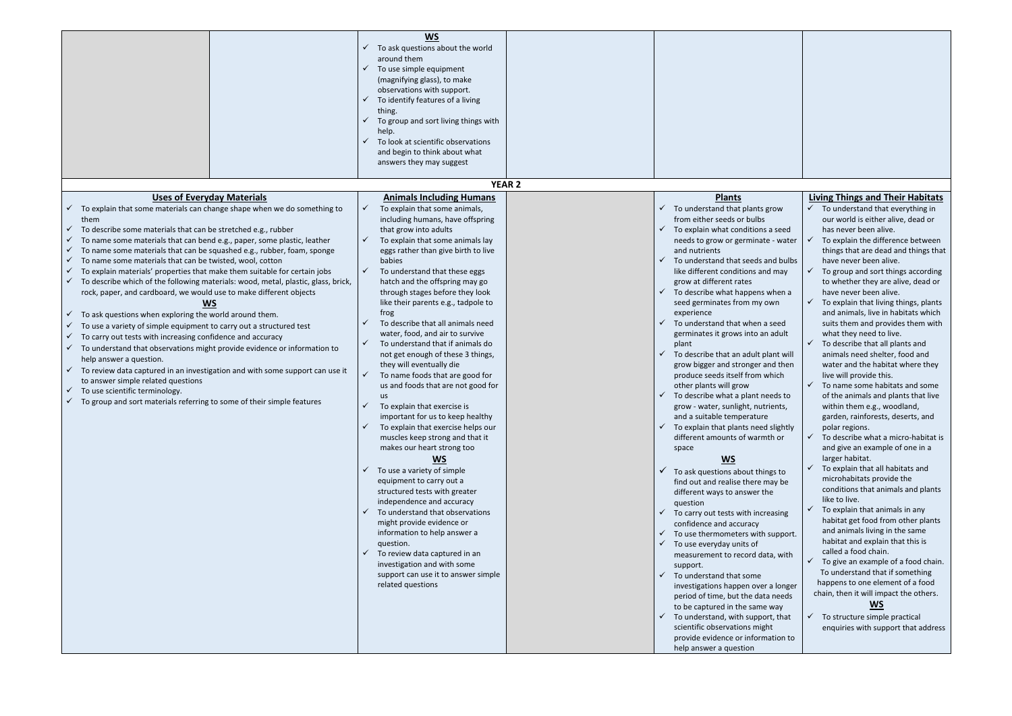|                                                                                                                                                                                                                                                                                                                                                                                                                                                                                                                                                                                                                                                                                                                                                                                                                                                                                                                                                                                                                                                                                                                                                                | <b>WS</b><br>To ask questions about the world<br>around them                                                                                                                                                                                                                                                                                                                                                                                                                                                                                                                                                                                                                                                                                                                                                                                                                                                                                                                                                                                                                                                                                                                    |  |                                                                                                                                                                                                                                                                                                                                                                                                                                                                                                                                                                                                                                                                                                                                                                                                                                                                                                                                                                                                                                                                                                                                                                                                                                                                                                                                      |                                                                                                                                                                                                                                                                                                                                                                                                                                                                                                                                                                                                                                                                                                                                                                                                                                                                                                                                                                                                                                                                                                                                                                                                                                                                                                                    |  |  |  |
|----------------------------------------------------------------------------------------------------------------------------------------------------------------------------------------------------------------------------------------------------------------------------------------------------------------------------------------------------------------------------------------------------------------------------------------------------------------------------------------------------------------------------------------------------------------------------------------------------------------------------------------------------------------------------------------------------------------------------------------------------------------------------------------------------------------------------------------------------------------------------------------------------------------------------------------------------------------------------------------------------------------------------------------------------------------------------------------------------------------------------------------------------------------|---------------------------------------------------------------------------------------------------------------------------------------------------------------------------------------------------------------------------------------------------------------------------------------------------------------------------------------------------------------------------------------------------------------------------------------------------------------------------------------------------------------------------------------------------------------------------------------------------------------------------------------------------------------------------------------------------------------------------------------------------------------------------------------------------------------------------------------------------------------------------------------------------------------------------------------------------------------------------------------------------------------------------------------------------------------------------------------------------------------------------------------------------------------------------------|--|--------------------------------------------------------------------------------------------------------------------------------------------------------------------------------------------------------------------------------------------------------------------------------------------------------------------------------------------------------------------------------------------------------------------------------------------------------------------------------------------------------------------------------------------------------------------------------------------------------------------------------------------------------------------------------------------------------------------------------------------------------------------------------------------------------------------------------------------------------------------------------------------------------------------------------------------------------------------------------------------------------------------------------------------------------------------------------------------------------------------------------------------------------------------------------------------------------------------------------------------------------------------------------------------------------------------------------------|--------------------------------------------------------------------------------------------------------------------------------------------------------------------------------------------------------------------------------------------------------------------------------------------------------------------------------------------------------------------------------------------------------------------------------------------------------------------------------------------------------------------------------------------------------------------------------------------------------------------------------------------------------------------------------------------------------------------------------------------------------------------------------------------------------------------------------------------------------------------------------------------------------------------------------------------------------------------------------------------------------------------------------------------------------------------------------------------------------------------------------------------------------------------------------------------------------------------------------------------------------------------------------------------------------------------|--|--|--|
|                                                                                                                                                                                                                                                                                                                                                                                                                                                                                                                                                                                                                                                                                                                                                                                                                                                                                                                                                                                                                                                                                                                                                                | To use simple equipment<br>(magnifying glass), to make<br>observations with support.<br>To identify features of a living<br>thing.<br>To group and sort living things with<br>$\checkmark$<br>help.                                                                                                                                                                                                                                                                                                                                                                                                                                                                                                                                                                                                                                                                                                                                                                                                                                                                                                                                                                             |  |                                                                                                                                                                                                                                                                                                                                                                                                                                                                                                                                                                                                                                                                                                                                                                                                                                                                                                                                                                                                                                                                                                                                                                                                                                                                                                                                      |                                                                                                                                                                                                                                                                                                                                                                                                                                                                                                                                                                                                                                                                                                                                                                                                                                                                                                                                                                                                                                                                                                                                                                                                                                                                                                                    |  |  |  |
|                                                                                                                                                                                                                                                                                                                                                                                                                                                                                                                                                                                                                                                                                                                                                                                                                                                                                                                                                                                                                                                                                                                                                                | To look at scientific observations<br>and begin to think about what<br>answers they may suggest                                                                                                                                                                                                                                                                                                                                                                                                                                                                                                                                                                                                                                                                                                                                                                                                                                                                                                                                                                                                                                                                                 |  |                                                                                                                                                                                                                                                                                                                                                                                                                                                                                                                                                                                                                                                                                                                                                                                                                                                                                                                                                                                                                                                                                                                                                                                                                                                                                                                                      |                                                                                                                                                                                                                                                                                                                                                                                                                                                                                                                                                                                                                                                                                                                                                                                                                                                                                                                                                                                                                                                                                                                                                                                                                                                                                                                    |  |  |  |
| <b>YEAR 2</b>                                                                                                                                                                                                                                                                                                                                                                                                                                                                                                                                                                                                                                                                                                                                                                                                                                                                                                                                                                                                                                                                                                                                                  |                                                                                                                                                                                                                                                                                                                                                                                                                                                                                                                                                                                                                                                                                                                                                                                                                                                                                                                                                                                                                                                                                                                                                                                 |  |                                                                                                                                                                                                                                                                                                                                                                                                                                                                                                                                                                                                                                                                                                                                                                                                                                                                                                                                                                                                                                                                                                                                                                                                                                                                                                                                      |                                                                                                                                                                                                                                                                                                                                                                                                                                                                                                                                                                                                                                                                                                                                                                                                                                                                                                                                                                                                                                                                                                                                                                                                                                                                                                                    |  |  |  |
| <b>Uses of Everyday Materials</b>                                                                                                                                                                                                                                                                                                                                                                                                                                                                                                                                                                                                                                                                                                                                                                                                                                                                                                                                                                                                                                                                                                                              | <b>Animals Including Humans</b>                                                                                                                                                                                                                                                                                                                                                                                                                                                                                                                                                                                                                                                                                                                                                                                                                                                                                                                                                                                                                                                                                                                                                 |  | <b>Plants</b>                                                                                                                                                                                                                                                                                                                                                                                                                                                                                                                                                                                                                                                                                                                                                                                                                                                                                                                                                                                                                                                                                                                                                                                                                                                                                                                        | <b>Living Things and Their Habitats</b>                                                                                                                                                                                                                                                                                                                                                                                                                                                                                                                                                                                                                                                                                                                                                                                                                                                                                                                                                                                                                                                                                                                                                                                                                                                                            |  |  |  |
| To explain that some materials can change shape when we do something to<br>them<br>To describe some materials that can be stretched e.g., rubber<br>To name some materials that can bend e.g., paper, some plastic, leather<br>To name some materials that can be squashed e.g., rubber, foam, sponge<br>To name some materials that can be twisted, wool, cotton<br>To explain materials' properties that make them suitable for certain jobs<br>To describe which of the following materials: wood, metal, plastic, glass, brick,<br>rock, paper, and cardboard, we would use to make different objects<br><b>WS</b><br>To ask questions when exploring the world around them.<br>To use a variety of simple equipment to carry out a structured test<br>To carry out tests with increasing confidence and accuracy<br>To understand that observations might provide evidence or information to<br>help answer a question.<br>To review data captured in an investigation and with some support can use it<br>to answer simple related questions<br>To use scientific terminology.<br>To group and sort materials referring to some of their simple features | To explain that some animals,<br>including humans, have offspring<br>that grow into adults<br>To explain that some animals lay<br>eggs rather than give birth to live<br>babies<br>To understand that these eggs<br>hatch and the offspring may go<br>through stages before they look<br>like their parents e.g., tadpole to<br>frog<br>To describe that all animals need<br>water, food, and air to survive<br>To understand that if animals do<br>not get enough of these 3 things,<br>they will eventually die<br>To name foods that are good for<br>us and foods that are not good for<br><b>us</b><br>To explain that exercise is<br>important for us to keep healthy<br>To explain that exercise helps our<br>muscles keep strong and that it<br>makes our heart strong too<br>$\underline{\mathsf{WS}}$<br>To use a variety of simple<br>equipment to carry out a<br>structured tests with greater<br>independence and accuracy<br>To understand that observations<br>might provide evidence or<br>information to help answer a<br>question.<br>To review data captured in an<br>investigation and with some<br>support can use it to answer simple<br>related questions |  | To understand that plants grow<br>✓<br>from either seeds or bulbs<br>✓<br>To explain what conditions a seed<br>needs to grow or germinate - water<br>and nutrients<br>$\checkmark$<br>To understand that seeds and bulbs<br>like different conditions and may<br>grow at different rates<br>To describe what happens when a<br>$\checkmark$<br>seed germinates from my own<br>experience<br>To understand that when a seed<br>germinates it grows into an adult<br>plant<br>$\checkmark$<br>To describe that an adult plant will<br>grow bigger and stronger and then<br>produce seeds itself from which<br>other plants will grow<br>To describe what a plant needs to<br>grow - water, sunlight, nutrients,<br>and a suitable temperature<br>$\checkmark$<br>To explain that plants need slightly<br>different amounts of warmth or<br>space<br><b>WS</b><br>$\checkmark$<br>To ask questions about things to<br>find out and realise there may be<br>different ways to answer the<br>question<br>To carry out tests with increasing<br>$\checkmark$<br>confidence and accuracy<br>To use thermometers with support.<br>✓<br>To use everyday units of<br>$\checkmark$<br>measurement to record data, with<br>support.<br>✓<br>To understand that some<br>investigations happen over a longer<br>period of time, but the data needs | To understand that everything in<br>our world is either alive, dead or<br>has never been alive.<br>To explain the difference between<br>things that are dead and things that<br>have never been alive.<br>To group and sort things according<br>to whether they are alive, dead or<br>have never been alive.<br>To explain that living things, plants<br>and animals, live in habitats which<br>suits them and provides them with<br>what they need to live.<br>To describe that all plants and<br>animals need shelter, food and<br>water and the habitat where they<br>live will provide this.<br>To name some habitats and some<br>of the animals and plants that live<br>within them e.g., woodland,<br>garden, rainforests, deserts, and<br>polar regions.<br>To describe what a micro-habitat is<br>and give an example of one in a<br>larger habitat.<br>To explain that all habitats and<br>microhabitats provide the<br>conditions that animals and plants<br>like to live.<br>To explain that animals in any<br>habitat get food from other plants<br>and animals living in the same<br>habitat and explain that this is<br>called a food chain.<br>To give an example of a food chain.<br>To understand that if something<br>happens to one element of a food<br>chain, then it will impact the others. |  |  |  |
|                                                                                                                                                                                                                                                                                                                                                                                                                                                                                                                                                                                                                                                                                                                                                                                                                                                                                                                                                                                                                                                                                                                                                                |                                                                                                                                                                                                                                                                                                                                                                                                                                                                                                                                                                                                                                                                                                                                                                                                                                                                                                                                                                                                                                                                                                                                                                                 |  | to be captured in the same way<br>$\checkmark$<br>To understand, with support, that<br>scientific observations might<br>provide evidence or information to<br>help answer a question                                                                                                                                                                                                                                                                                                                                                                                                                                                                                                                                                                                                                                                                                                                                                                                                                                                                                                                                                                                                                                                                                                                                                 | <b>WS</b><br>$\checkmark$ To structure simple practical<br>enquiries with support that address                                                                                                                                                                                                                                                                                                                                                                                                                                                                                                                                                                                                                                                                                                                                                                                                                                                                                                                                                                                                                                                                                                                                                                                                                     |  |  |  |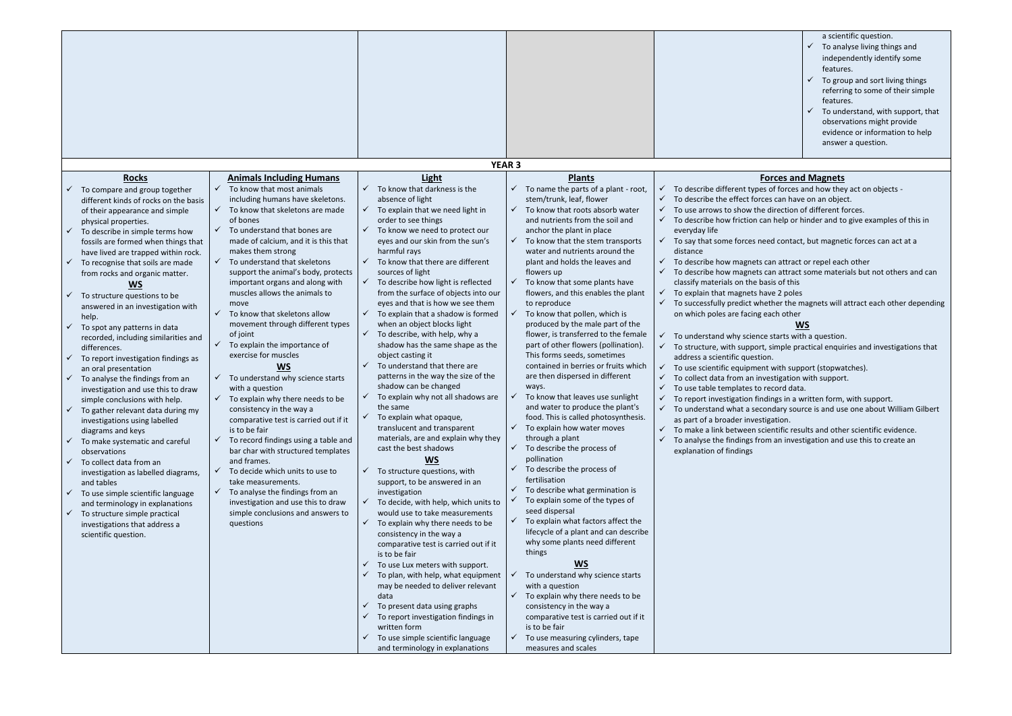|                                                         |                                                                       |                                                                            |                                                                                    | a scientific question.<br>To analyse living things and<br>independently identify some<br>features.<br>To group and sort living things<br>referring to some of their simple<br>features.<br>To understand, with support, that<br>observations might provide<br>evidence or information to help<br>answer a question. |
|---------------------------------------------------------|-----------------------------------------------------------------------|----------------------------------------------------------------------------|------------------------------------------------------------------------------------|---------------------------------------------------------------------------------------------------------------------------------------------------------------------------------------------------------------------------------------------------------------------------------------------------------------------|
|                                                         |                                                                       | <b>YEAR 3</b>                                                              |                                                                                    |                                                                                                                                                                                                                                                                                                                     |
| <b>Rocks</b>                                            | <b>Animals Including Humans</b>                                       | <b>Light</b>                                                               | <b>Plants</b>                                                                      | <b>Forces and Magnets</b>                                                                                                                                                                                                                                                                                           |
| To compare and group together                           | To know that most animals<br>✓                                        | To know that darkness is the<br>✓                                          | To name the parts of a plant - root,                                               | To describe different types of forces and how they act on objects -                                                                                                                                                                                                                                                 |
| different kinds of rocks on the basis                   | including humans have skeletons.                                      | absence of light                                                           | stem/trunk, leaf, flower                                                           | $\checkmark$<br>To describe the effect forces can have on an object.<br>✓                                                                                                                                                                                                                                           |
| of their appearance and simple                          | $\checkmark$<br>To know that skeletons are made<br>of bones           | To explain that we need light in<br>order to see things                    | $\checkmark$<br>To know that roots absorb water<br>and nutrients from the soil and | To use arrows to show the direction of different forces.<br>✓<br>To describe how friction can help or hinder and to give examples of this in                                                                                                                                                                        |
| physical properties.<br>To describe in simple terms how | $\checkmark$<br>To understand that bones are                          | To know we need to protect our                                             | anchor the plant in place                                                          | everyday life                                                                                                                                                                                                                                                                                                       |
| fossils are formed when things that                     | made of calcium, and it is this that                                  | eyes and our skin from the sun's                                           | To know that the stem transports<br>$\checkmark$                                   | To say that some forces need contact, but magnetic forces can act at a                                                                                                                                                                                                                                              |
| have lived are trapped within rock.                     | makes them strong                                                     | harmful rays                                                               | water and nutrients around the                                                     | distance                                                                                                                                                                                                                                                                                                            |
| To recognise that soils are made                        | To understand that skeletons<br>$\checkmark$                          | To know that there are different                                           | plant and holds the leaves and                                                     | To describe how magnets can attract or repel each other<br>✓                                                                                                                                                                                                                                                        |
| from rocks and organic matter.                          | support the animal's body, protects                                   | sources of light                                                           | flowers up                                                                         | ✓<br>To describe how magnets can attract some materials but not others and can                                                                                                                                                                                                                                      |
| <b>WS</b>                                               | important organs and along with<br>muscles allows the animals to      | To describe how light is reflected<br>from the surface of objects into our | To know that some plants have<br>flowers, and this enables the plant               | classify materials on the basis of this<br>To explain that magnets have 2 poles                                                                                                                                                                                                                                     |
| To structure questions to be                            | move                                                                  | eyes and that is how we see them                                           | to reproduce                                                                       | To successfully predict whether the magnets will attract each other depending                                                                                                                                                                                                                                       |
| answered in an investigation with<br>help.              | To know that skeletons allow<br>$\checkmark$                          | To explain that a shadow is formed                                         | To know that pollen, which is                                                      | on which poles are facing each other                                                                                                                                                                                                                                                                                |
| To spot any patterns in data                            | movement through different types                                      | when an object blocks light                                                | produced by the male part of the                                                   | WS                                                                                                                                                                                                                                                                                                                  |
| recorded, including similarities and                    | of joint                                                              | To describe, with help, why a<br>✓                                         | flower, is transferred to the female                                               | To understand why science starts with a question.                                                                                                                                                                                                                                                                   |
| differences.                                            | To explain the importance of<br>$\checkmark$                          | shadow has the same shape as the                                           | part of other flowers (pollination).                                               | To structure, with support, simple practical enquiries and investigations that                                                                                                                                                                                                                                      |
| To report investigation findings as                     | exercise for muscles<br><b>WS</b>                                     | object casting it<br>To understand that there are                          | This forms seeds, sometimes<br>contained in berries or fruits which                | address a scientific question.                                                                                                                                                                                                                                                                                      |
| an oral presentation<br>To analyse the findings from an | To understand why science starts<br>$\checkmark$                      | patterns in the way the size of the                                        | are then dispersed in different                                                    | To use scientific equipment with support (stopwatches).<br>✓<br>To collect data from an investigation with support.                                                                                                                                                                                                 |
| investigation and use this to draw                      | with a question                                                       | shadow can be changed                                                      | ways.                                                                              | ✓<br>To use table templates to record data.                                                                                                                                                                                                                                                                         |
| simple conclusions with help.                           | To explain why there needs to be                                      | To explain why not all shadows are                                         | To know that leaves use sunlight                                                   | $\checkmark$<br>To report investigation findings in a written form, with support.                                                                                                                                                                                                                                   |
| To gather relevant data during my                       | consistency in the way a                                              | the same                                                                   | and water to produce the plant's                                                   | $\checkmark$ To understand what a secondary source is and use one about William Gilbert                                                                                                                                                                                                                             |
| investigations using labelled                           | comparative test is carried out if it                                 | To explain what opaque,<br>translucent and transparent                     | food. This is called photosynthesis.<br>$\checkmark$ To explain how water moves    | as part of a broader investigation.                                                                                                                                                                                                                                                                                 |
| diagrams and keys<br>To make systematic and careful     | is to be fair<br>To record findings using a table and<br>$\checkmark$ | materials, are and explain why they                                        | through a plant                                                                    | To make a link between scientific results and other scientific evidence.<br>$\checkmark$<br>✓<br>To analyse the findings from an investigation and use this to create an                                                                                                                                            |
| observations                                            | bar char with structured templates                                    | cast the best shadows                                                      | $\checkmark$ To describe the process of                                            | explanation of findings                                                                                                                                                                                                                                                                                             |
| To collect data from an<br>✓                            | and frames.                                                           | <b>WS</b>                                                                  | pollination                                                                        |                                                                                                                                                                                                                                                                                                                     |
| investigation as labelled diagrams,                     | To decide which units to use to<br>$\checkmark$                       | To structure questions, with                                               | To describe the process of<br>$\checkmark$<br>fertilisation                        |                                                                                                                                                                                                                                                                                                                     |
| and tables<br>To use simple scientific language         | take measurements.<br>To analyse the findings from an<br>$\checkmark$ | support, to be answered in an<br>investigation                             | To describe what germination is<br>$\checkmark$                                    |                                                                                                                                                                                                                                                                                                                     |
| and terminology in explanations                         | investigation and use this to draw                                    | To decide, with help, which units to                                       | To explain some of the types of                                                    |                                                                                                                                                                                                                                                                                                                     |
| $\checkmark$ To structure simple practical              | simple conclusions and answers to                                     | would use to take measurements                                             | seed dispersal                                                                     |                                                                                                                                                                                                                                                                                                                     |
| investigations that address a                           | questions                                                             | To explain why there needs to be<br>✓                                      | $\checkmark$ To explain what factors affect the                                    |                                                                                                                                                                                                                                                                                                                     |
| scientific question.                                    |                                                                       | consistency in the way a                                                   | lifecycle of a plant and can describe<br>why some plants need different            |                                                                                                                                                                                                                                                                                                                     |
|                                                         |                                                                       | comparative test is carried out if it<br>is to be fair                     | things                                                                             |                                                                                                                                                                                                                                                                                                                     |
|                                                         |                                                                       | To use Lux meters with support.                                            | $\underline{\mathsf{WS}}$                                                          |                                                                                                                                                                                                                                                                                                                     |
|                                                         |                                                                       | To plan, with help, what equipment                                         | To understand why science starts                                                   |                                                                                                                                                                                                                                                                                                                     |
|                                                         |                                                                       | may be needed to deliver relevant                                          | with a question                                                                    |                                                                                                                                                                                                                                                                                                                     |
|                                                         |                                                                       | data<br>To present data using graphs                                       | $\checkmark$ To explain why there needs to be<br>consistency in the way a          |                                                                                                                                                                                                                                                                                                                     |
|                                                         |                                                                       | To report investigation findings in                                        | comparative test is carried out if it                                              |                                                                                                                                                                                                                                                                                                                     |
|                                                         |                                                                       | written form                                                               | is to be fair                                                                      |                                                                                                                                                                                                                                                                                                                     |
|                                                         |                                                                       | To use simple scientific language<br>✓                                     | To use measuring cylinders, tape<br>$\checkmark$                                   |                                                                                                                                                                                                                                                                                                                     |
|                                                         |                                                                       | and terminology in explanations                                            | measures and scales                                                                |                                                                                                                                                                                                                                                                                                                     |

- 
- 

- 
- 
- 
- 
- 

- 
- 
- 
- 
- 
- 
- 
- 
-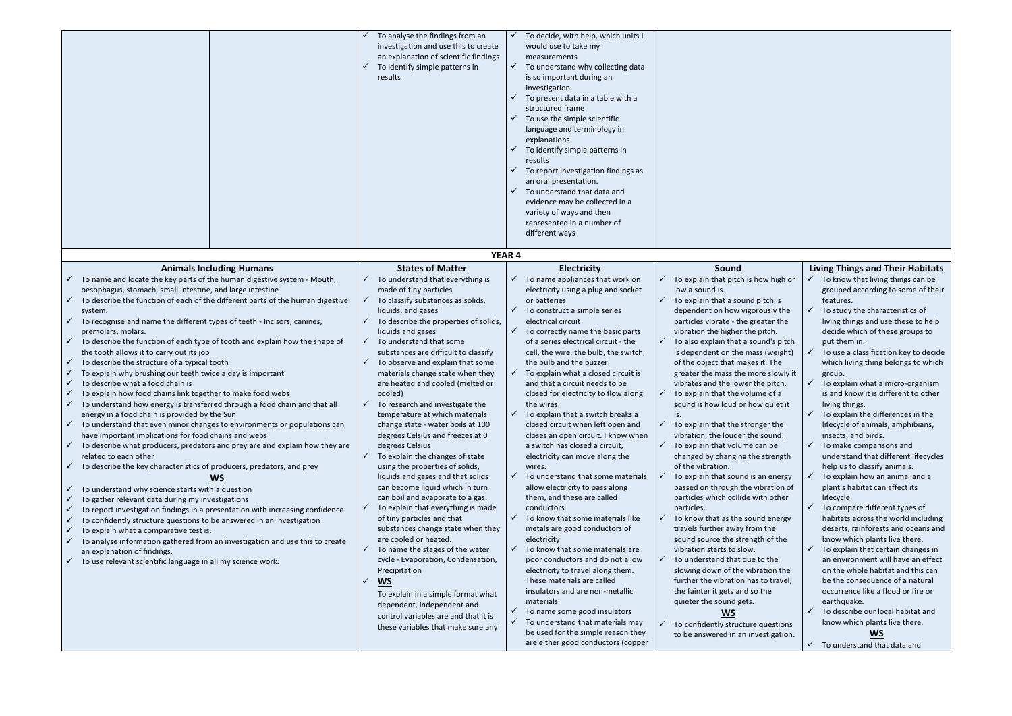|                                                                                                                                                                                                                                                                                                                                                                                                                                                                                                                                                                                                                                                                                                                                                                                                                                                                                                                                                                                                                                                                                                                                                                                                                                                                                                                                                                                                                                                                                                                                                                                                                                                                   | To analyse the findings from an<br>investigation and use this to create<br>an explanation of scientific findings<br>To identify simple patterns in<br>results                                                                                                                                                                                                                                                                                                                                                                                                                                                                                                                                                                                                                                                                                                                                                                                                                                                                                                                                                               | To decide, with help, which units I<br>would use to take my<br>measurements<br>$\checkmark$ To understand why collecting data<br>is so important during an<br>investigation.<br>To present data in a table with a<br>$\checkmark$<br>structured frame<br>$\checkmark$<br>To use the simple scientific<br>language and terminology in<br>explanations<br>$\checkmark$<br>To identify simple patterns in<br>results<br>To report investigation findings as<br>$\checkmark$<br>an oral presentation.<br>To understand that data and<br>$\checkmark$<br>evidence may be collected in a<br>variety of ways and then<br>represented in a number of<br>different ways                                                                                                                                                                                                                                                                                                                                                                                                                                                                                                                                                                                                   |                                                                                                                                                                                                                                                                                                                                                                                                                                                                                                                                                                                                                                                                                                                                                                                                                                                                                                                                                                                                                                                                                                                                                                                                                                   |                                                                                                                                                                                                                                                                                                                                                                                                                                                                                                                                                                                                                                                                                                                                                                                                                                                                                                                                                                                                                                                                                                                                                                                                 |
|-------------------------------------------------------------------------------------------------------------------------------------------------------------------------------------------------------------------------------------------------------------------------------------------------------------------------------------------------------------------------------------------------------------------------------------------------------------------------------------------------------------------------------------------------------------------------------------------------------------------------------------------------------------------------------------------------------------------------------------------------------------------------------------------------------------------------------------------------------------------------------------------------------------------------------------------------------------------------------------------------------------------------------------------------------------------------------------------------------------------------------------------------------------------------------------------------------------------------------------------------------------------------------------------------------------------------------------------------------------------------------------------------------------------------------------------------------------------------------------------------------------------------------------------------------------------------------------------------------------------------------------------------------------------|-----------------------------------------------------------------------------------------------------------------------------------------------------------------------------------------------------------------------------------------------------------------------------------------------------------------------------------------------------------------------------------------------------------------------------------------------------------------------------------------------------------------------------------------------------------------------------------------------------------------------------------------------------------------------------------------------------------------------------------------------------------------------------------------------------------------------------------------------------------------------------------------------------------------------------------------------------------------------------------------------------------------------------------------------------------------------------------------------------------------------------|------------------------------------------------------------------------------------------------------------------------------------------------------------------------------------------------------------------------------------------------------------------------------------------------------------------------------------------------------------------------------------------------------------------------------------------------------------------------------------------------------------------------------------------------------------------------------------------------------------------------------------------------------------------------------------------------------------------------------------------------------------------------------------------------------------------------------------------------------------------------------------------------------------------------------------------------------------------------------------------------------------------------------------------------------------------------------------------------------------------------------------------------------------------------------------------------------------------------------------------------------------------|-----------------------------------------------------------------------------------------------------------------------------------------------------------------------------------------------------------------------------------------------------------------------------------------------------------------------------------------------------------------------------------------------------------------------------------------------------------------------------------------------------------------------------------------------------------------------------------------------------------------------------------------------------------------------------------------------------------------------------------------------------------------------------------------------------------------------------------------------------------------------------------------------------------------------------------------------------------------------------------------------------------------------------------------------------------------------------------------------------------------------------------------------------------------------------------------------------------------------------------|-------------------------------------------------------------------------------------------------------------------------------------------------------------------------------------------------------------------------------------------------------------------------------------------------------------------------------------------------------------------------------------------------------------------------------------------------------------------------------------------------------------------------------------------------------------------------------------------------------------------------------------------------------------------------------------------------------------------------------------------------------------------------------------------------------------------------------------------------------------------------------------------------------------------------------------------------------------------------------------------------------------------------------------------------------------------------------------------------------------------------------------------------------------------------------------------------|
|                                                                                                                                                                                                                                                                                                                                                                                                                                                                                                                                                                                                                                                                                                                                                                                                                                                                                                                                                                                                                                                                                                                                                                                                                                                                                                                                                                                                                                                                                                                                                                                                                                                                   |                                                                                                                                                                                                                                                                                                                                                                                                                                                                                                                                                                                                                                                                                                                                                                                                                                                                                                                                                                                                                                                                                                                             | <b>YEAR 4</b>                                                                                                                                                                                                                                                                                                                                                                                                                                                                                                                                                                                                                                                                                                                                                                                                                                                                                                                                                                                                                                                                                                                                                                                                                                                    |                                                                                                                                                                                                                                                                                                                                                                                                                                                                                                                                                                                                                                                                                                                                                                                                                                                                                                                                                                                                                                                                                                                                                                                                                                   |                                                                                                                                                                                                                                                                                                                                                                                                                                                                                                                                                                                                                                                                                                                                                                                                                                                                                                                                                                                                                                                                                                                                                                                                 |
| <b>Animals Including Humans</b>                                                                                                                                                                                                                                                                                                                                                                                                                                                                                                                                                                                                                                                                                                                                                                                                                                                                                                                                                                                                                                                                                                                                                                                                                                                                                                                                                                                                                                                                                                                                                                                                                                   | <b>States of Matter</b>                                                                                                                                                                                                                                                                                                                                                                                                                                                                                                                                                                                                                                                                                                                                                                                                                                                                                                                                                                                                                                                                                                     | <b>Electricity</b>                                                                                                                                                                                                                                                                                                                                                                                                                                                                                                                                                                                                                                                                                                                                                                                                                                                                                                                                                                                                                                                                                                                                                                                                                                               | <b>Sound</b>                                                                                                                                                                                                                                                                                                                                                                                                                                                                                                                                                                                                                                                                                                                                                                                                                                                                                                                                                                                                                                                                                                                                                                                                                      | <b>Living Things and Their Habitats</b>                                                                                                                                                                                                                                                                                                                                                                                                                                                                                                                                                                                                                                                                                                                                                                                                                                                                                                                                                                                                                                                                                                                                                         |
| To name and locate the key parts of the human digestive system - Mouth,<br>oesophagus, stomach, small intestine, and large intestine<br>To describe the function of each of the different parts of the human digestive<br>system.<br>To recognise and name the different types of teeth - Incisors, canines,<br>premolars, molars.<br>To describe the function of each type of tooth and explain how the shape of<br>the tooth allows it to carry out its job<br>To describe the structure of a typical tooth<br>$\checkmark$<br>To explain why brushing our teeth twice a day is important<br>To describe what a food chain is<br>$\checkmark$<br>To explain how food chains link together to make food webs<br>To understand how energy is transferred through a food chain and that all<br>energy in a food chain is provided by the Sun<br>To understand that even minor changes to environments or populations can<br>have important implications for food chains and webs<br>To describe what producers, predators and prey are and explain how they are<br>related to each other<br>To describe the key characteristics of producers, predators, and prey<br>WS<br>To understand why science starts with a question<br>To gather relevant data during my investigations<br>To report investigation findings in a presentation with increasing confidence.<br>To confidently structure questions to be answered in an investigation<br>To explain what a comparative test is.<br>To analyse information gathered from an investigation and use this to create<br>an explanation of findings.<br>To use relevant scientific language in all my science work. | To understand that everything is<br>made of tiny particles<br>To classify substances as solids,<br>liquids, and gases<br>To describe the properties of solids,<br>liquids and gases<br>To understand that some<br>substances are difficult to classify<br>To observe and explain that some<br>materials change state when they<br>are heated and cooled (melted or<br>cooled)<br>To research and investigate the<br>temperature at which materials<br>change state - water boils at 100<br>degrees Celsius and freezes at 0<br>degrees Celsius<br>To explain the changes of state<br>using the properties of solids,<br>liquids and gases and that solids<br>can become liquid which in turn<br>can boil and evaporate to a gas.<br>To explain that everything is made<br>of tiny particles and that<br>substances change state when they<br>are cooled or heated.<br>To name the stages of the water<br>cycle - Evaporation, Condensation,<br>Precipitation<br><u>WS</u><br>To explain in a simple format what<br>dependent, independent and<br>control variables are and that it is<br>these variables that make sure any | To name appliances that work on<br>✓<br>electricity using a plug and socket<br>or batteries<br>To construct a simple series<br>electrical circuit<br>$\sqrt{ }$<br>To correctly name the basic parts<br>of a series electrical circuit - the<br>cell, the wire, the bulb, the switch,<br>the bulb and the buzzer.<br>To explain what a closed circuit is<br>and that a circuit needs to be<br>closed for electricity to flow along<br>the wires.<br>To explain that a switch breaks a<br>closed circuit when left open and<br>closes an open circuit. I know when<br>a switch has closed a circuit,<br>electricity can move along the<br>wires.<br>To understand that some materials<br>$\checkmark$<br>allow electricity to pass along<br>them, and these are called<br>conductors<br>$\checkmark$<br>To know that some materials like<br>metals are good conductors of<br>electricity<br>$\checkmark$ To know that some materials are<br>poor conductors and do not allow<br>electricity to travel along them.<br>These materials are called<br>insulators and are non-metallic<br>materials<br>To name some good insulators<br>✓<br>$\checkmark$ To understand that materials may<br>be used for the simple reason they<br>are either good conductors (copper | To explain that pitch is how high or<br>low a sound is.<br>$\checkmark$<br>To explain that a sound pitch is<br>dependent on how vigorously the<br>particles vibrate - the greater the<br>vibration the higher the pitch.<br>To also explain that a sound's pitch<br>is dependent on the mass (weight)<br>of the object that makes it. The<br>greater the mass the more slowly it<br>vibrates and the lower the pitch.<br>To explain that the volume of a<br>sound is how loud or how quiet it<br>is.<br>To explain that the stronger the<br>vibration, the louder the sound.<br>$\checkmark$<br>To explain that volume can be<br>changed by changing the strength<br>of the vibration.<br>To explain that sound is an energy<br>passed on through the vibration of<br>particles which collide with other<br>particles.<br>To know that as the sound energy<br>travels further away from the<br>sound source the strength of the<br>vibration starts to slow.<br>To understand that due to the<br>slowing down of the vibration the<br>further the vibration has to travel,<br>the fainter it gets and so the<br>quieter the sound gets.<br><b>WS</b><br>To confidently structure questions<br>to be answered in an investigation. | To know that living things can be<br>grouped according to some of their<br>features.<br>To study the characteristics of<br>living things and use these to help<br>decide which of these groups to<br>put them in.<br>To use a classification key to decide<br>which living thing belongs to which<br>group.<br>To explain what a micro-organism<br>is and know it is different to other<br>living things.<br>To explain the differences in the<br>lifecycle of animals, amphibians,<br>insects, and birds.<br>To make comparisons and<br>✓<br>understand that different lifecycles<br>help us to classify animals.<br>To explain how an animal and a<br>plant's habitat can affect its<br>lifecycle.<br>To compare different types of<br>$\checkmark$<br>habitats across the world including<br>deserts, rainforests and oceans and<br>know which plants live there.<br>To explain that certain changes in<br>an environment will have an effect<br>on the whole habitat and this can<br>be the consequence of a natural<br>occurrence like a flood or fire or<br>earthquake.<br>To describe our local habitat and<br>know which plants live there.<br><b>WS</b><br>To understand that data and |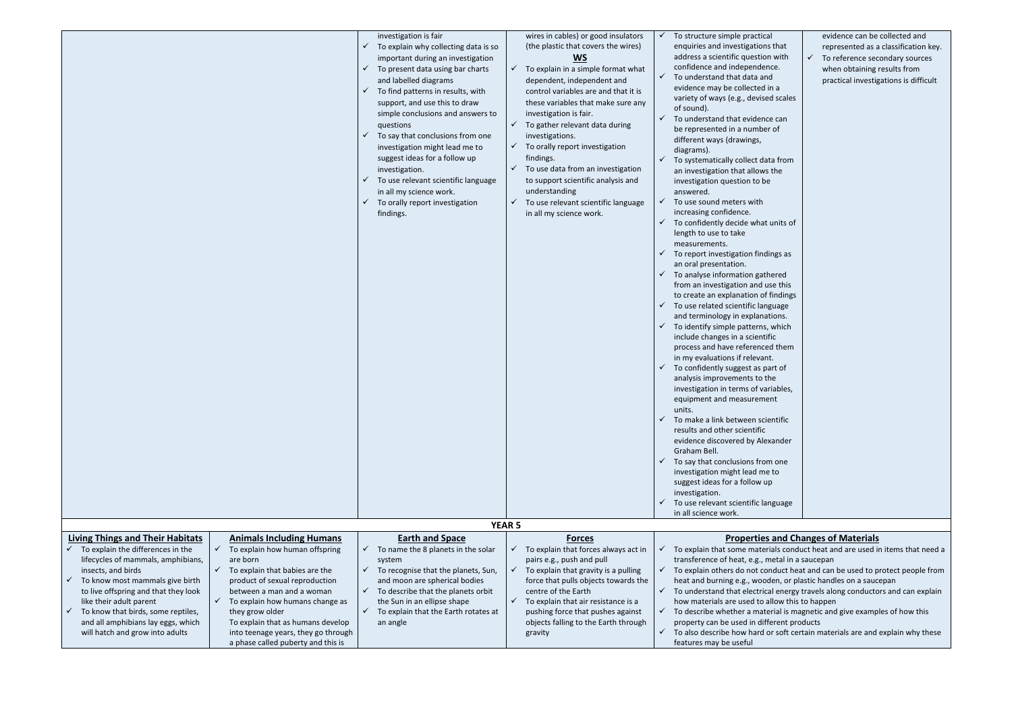|                                                                                                  | investigation is fair<br>To explain why collecting data is so<br>$\checkmark$<br>important during an investigation<br>To present data using bar charts<br>$\checkmark$<br>and labelled diagrams<br>To find patterns in results, with<br>$\checkmark$<br>support, and use this to draw<br>simple conclusions and answers to<br>questions<br>To say that conclusions from one<br>$\checkmark$<br>investigation might lead me to<br>suggest ideas for a follow up<br>investigation.<br>To use relevant scientific language<br>in all my science work.<br>To orally report investigation<br>$\checkmark$<br>findings. | wires in cables) or good insulators<br>(the plastic that covers the wires)<br><b>WS</b><br>$\checkmark$ To explain in a simple format what<br>dependent, independent and<br>control variables are and that it is<br>these variables that make sure any<br>investigation is fair.<br>$\checkmark$ To gather relevant data during<br>investigations.<br>$\checkmark$ To orally report investigation<br>findings.<br>$\checkmark$ To use data from an investigation<br>to support scientific analysis and<br>understanding<br>To use relevant scientific language<br>$\checkmark$<br>in all my science work.<br><b>YEAR 5</b> | To structure simple practical<br>enquiries and investigations that<br>address a scientific question with<br>confidence and independence.<br>To understand that data and<br>$\checkmark$<br>evidence may be collected in a<br>variety of ways (e.g., devised scales<br>of sound).<br>To understand that evidence can<br>✓<br>be represented in a number of<br>different ways (drawings,<br>diagrams).<br>To systematically collect data from<br>an investigation that allows the<br>investigation question to be<br>answered.<br>To use sound meters with<br>$\checkmark$<br>increasing confidence.<br>To confidently decide what units of<br>✓<br>length to use to take<br>measurements.<br>To report investigation findings as<br>✓<br>an oral presentation.<br>To analyse information gathered<br>$\checkmark$<br>from an investigation and use this<br>to create an explanation of findings<br>To use related scientific language<br>$\checkmark$<br>and terminology in explanations.<br>To identify simple patterns, which<br>$\checkmark$<br>include changes in a scientific<br>process and have referenced them<br>in my evaluations if relevant.<br>To confidently suggest as part of<br>$\checkmark$<br>analysis improvements to the<br>investigation in terms of variables,<br>equipment and measurement<br>units.<br>✓<br>To make a link between scientific<br>results and other scientific<br>evidence discovered by Alexander<br>Graham Bell.<br>To say that conclusions from one<br>✓<br>investigation might lead me to<br>suggest ideas for a follow up<br>investigation.<br>To use relevant scientific language<br>✓<br>in all science work. |
|--------------------------------------------------------------------------------------------------|-------------------------------------------------------------------------------------------------------------------------------------------------------------------------------------------------------------------------------------------------------------------------------------------------------------------------------------------------------------------------------------------------------------------------------------------------------------------------------------------------------------------------------------------------------------------------------------------------------------------|----------------------------------------------------------------------------------------------------------------------------------------------------------------------------------------------------------------------------------------------------------------------------------------------------------------------------------------------------------------------------------------------------------------------------------------------------------------------------------------------------------------------------------------------------------------------------------------------------------------------------|-------------------------------------------------------------------------------------------------------------------------------------------------------------------------------------------------------------------------------------------------------------------------------------------------------------------------------------------------------------------------------------------------------------------------------------------------------------------------------------------------------------------------------------------------------------------------------------------------------------------------------------------------------------------------------------------------------------------------------------------------------------------------------------------------------------------------------------------------------------------------------------------------------------------------------------------------------------------------------------------------------------------------------------------------------------------------------------------------------------------------------------------------------------------------------------------------------------------------------------------------------------------------------------------------------------------------------------------------------------------------------------------------------------------------------------------------------------------------------------------------------------------------------------------------------------------------------------------------------------------------------------------------------------|
| <b>Living Things and Their Habitats</b><br><b>Animals Including Humans</b>                       | <b>Earth and Space</b>                                                                                                                                                                                                                                                                                                                                                                                                                                                                                                                                                                                            | <b>Forces</b>                                                                                                                                                                                                                                                                                                                                                                                                                                                                                                                                                                                                              | <b>Properties and Cl</b>                                                                                                                                                                                                                                                                                                                                                                                                                                                                                                                                                                                                                                                                                                                                                                                                                                                                                                                                                                                                                                                                                                                                                                                                                                                                                                                                                                                                                                                                                                                                                                                                                                    |
| $\checkmark$ To explain the differences in the<br>$\checkmark$<br>To explain how human offspring | To name the 8 planets in the solar<br>$\checkmark$                                                                                                                                                                                                                                                                                                                                                                                                                                                                                                                                                                | $\checkmark$ To explain that forces always act in                                                                                                                                                                                                                                                                                                                                                                                                                                                                                                                                                                          | $\checkmark$ To explain that some materials cond                                                                                                                                                                                                                                                                                                                                                                                                                                                                                                                                                                                                                                                                                                                                                                                                                                                                                                                                                                                                                                                                                                                                                                                                                                                                                                                                                                                                                                                                                                                                                                                                            |
| lifecycles of mammals, amphibians,<br>are born                                                   | system                                                                                                                                                                                                                                                                                                                                                                                                                                                                                                                                                                                                            | pairs e.g., push and pull                                                                                                                                                                                                                                                                                                                                                                                                                                                                                                                                                                                                  | transference of heat, e.g., metal in a                                                                                                                                                                                                                                                                                                                                                                                                                                                                                                                                                                                                                                                                                                                                                                                                                                                                                                                                                                                                                                                                                                                                                                                                                                                                                                                                                                                                                                                                                                                                                                                                                      |
| $\checkmark$ To explain that babies are the<br>insects, and birds                                | $\checkmark$ To recognise that the planets, Sun,                                                                                                                                                                                                                                                                                                                                                                                                                                                                                                                                                                  | $\checkmark$ To explain that gravity is a pulling                                                                                                                                                                                                                                                                                                                                                                                                                                                                                                                                                                          | $\checkmark$ To explain others do not conduct he                                                                                                                                                                                                                                                                                                                                                                                                                                                                                                                                                                                                                                                                                                                                                                                                                                                                                                                                                                                                                                                                                                                                                                                                                                                                                                                                                                                                                                                                                                                                                                                                            |
| To know most mammals give birth<br>product of sexual reproduction                                | and moon are spherical bodies                                                                                                                                                                                                                                                                                                                                                                                                                                                                                                                                                                                     | force that pulls objects towards the                                                                                                                                                                                                                                                                                                                                                                                                                                                                                                                                                                                       | heat and burning e.g., wooden, or p                                                                                                                                                                                                                                                                                                                                                                                                                                                                                                                                                                                                                                                                                                                                                                                                                                                                                                                                                                                                                                                                                                                                                                                                                                                                                                                                                                                                                                                                                                                                                                                                                         |
| to live offspring and that they look<br>between a man and a woman                                | $\checkmark$ To describe that the planets orbit                                                                                                                                                                                                                                                                                                                                                                                                                                                                                                                                                                   | centre of the Earth                                                                                                                                                                                                                                                                                                                                                                                                                                                                                                                                                                                                        | $\checkmark$ To understand that electrical energy                                                                                                                                                                                                                                                                                                                                                                                                                                                                                                                                                                                                                                                                                                                                                                                                                                                                                                                                                                                                                                                                                                                                                                                                                                                                                                                                                                                                                                                                                                                                                                                                           |
| like their adult parent<br>To explain how humans change as<br>$\checkmark$                       | the Sun in an ellipse shape                                                                                                                                                                                                                                                                                                                                                                                                                                                                                                                                                                                       | $\checkmark$ To explain that air resistance is a                                                                                                                                                                                                                                                                                                                                                                                                                                                                                                                                                                           | how materials are used to allow this                                                                                                                                                                                                                                                                                                                                                                                                                                                                                                                                                                                                                                                                                                                                                                                                                                                                                                                                                                                                                                                                                                                                                                                                                                                                                                                                                                                                                                                                                                                                                                                                                        |
| To know that birds, some reptiles,<br>they grow older                                            | $\checkmark$ To explain that the Earth rotates at                                                                                                                                                                                                                                                                                                                                                                                                                                                                                                                                                                 | pushing force that pushes against                                                                                                                                                                                                                                                                                                                                                                                                                                                                                                                                                                                          | $\checkmark$ To describe whether a material is m                                                                                                                                                                                                                                                                                                                                                                                                                                                                                                                                                                                                                                                                                                                                                                                                                                                                                                                                                                                                                                                                                                                                                                                                                                                                                                                                                                                                                                                                                                                                                                                                            |
| and all amphibians lay eggs, which<br>To explain that as humans develop                          | an angle                                                                                                                                                                                                                                                                                                                                                                                                                                                                                                                                                                                                          | objects falling to the Earth through                                                                                                                                                                                                                                                                                                                                                                                                                                                                                                                                                                                       | property can be used in different pr                                                                                                                                                                                                                                                                                                                                                                                                                                                                                                                                                                                                                                                                                                                                                                                                                                                                                                                                                                                                                                                                                                                                                                                                                                                                                                                                                                                                                                                                                                                                                                                                                        |
| will hatch and grow into adults<br>into teenage years, they go through                           |                                                                                                                                                                                                                                                                                                                                                                                                                                                                                                                                                                                                                   | gravity                                                                                                                                                                                                                                                                                                                                                                                                                                                                                                                                                                                                                    | $\checkmark$ To also describe how hard or soft ce                                                                                                                                                                                                                                                                                                                                                                                                                                                                                                                                                                                                                                                                                                                                                                                                                                                                                                                                                                                                                                                                                                                                                                                                                                                                                                                                                                                                                                                                                                                                                                                                           |

 $\checkmark$  To also describe how hard or soft certain materials are and explain why these features may be useful

| al:<br>าร that<br>งท with<br>nce.<br>nd<br>in a<br>ed scales                                                                       | ✓ | evidence can be collected and<br>represented as a classification key.<br>To reference secondary sources<br>when obtaining results from<br>practical investigations is difficult |
|------------------------------------------------------------------------------------------------------------------------------------|---|---------------------------------------------------------------------------------------------------------------------------------------------------------------------------------|
| ce can<br>er of                                                                                                                    |   |                                                                                                                                                                                 |
| ata from<br>'s the<br>۱e                                                                                                           |   |                                                                                                                                                                                 |
| t units of                                                                                                                         |   |                                                                                                                                                                                 |
| dings as                                                                                                                           |   |                                                                                                                                                                                 |
| thered<br>use this<br>f findings<br>nguage<br>ations.<br>s, which<br>ific:<br>ed them<br>nt.<br>oart of<br>the<br>ariables,<br>ent |   |                                                                                                                                                                                 |
| ientific                                                                                                                           |   |                                                                                                                                                                                 |
| exander<br>m one<br>ie to<br>up                                                                                                    |   |                                                                                                                                                                                 |
| anguage                                                                                                                            |   |                                                                                                                                                                                 |

# **And Changes of Materials**

- als conduct heat and are used in items that need a etal in a saucepan
- oduct heat and can be used to protect people from len, or plastic handles on a saucepan
- I energy travels along conductors and can explain llow this to happen
- rial is magnetic and give examples of how this erent products

a phase called puberty and this is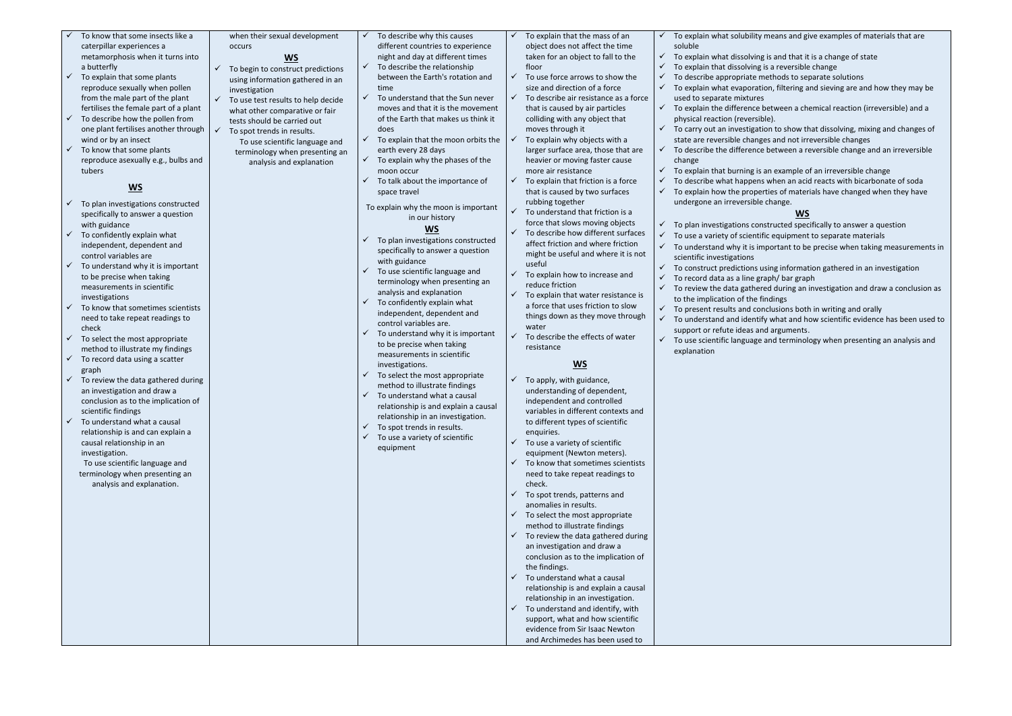- To know that some insects like a caterpillar experiences a metamorphosis when it turns into a butterfly
- To explain that some plants reproduce sexually when pollen from the male part of the plant fertilises the female part of a plant
- $\checkmark$  To describe how the pollen from one plant fertilises another through wind or by an insect
- $\checkmark$  To know that some plants reproduce asexually e.g., bulbs and tubers

# **WS**

- ✓ To plan investigations constructed specifically to answer a question with guidance
- $\checkmark$  To confidently explain what independent, dependent and control variables are
- $\checkmark$  To understand why it is important to be precise when taking measurements in scientific investigations
- To know that sometimes scientists need to take repeat readings to check
- $\checkmark$  To select the most appropriate method to illustrate my findings
- $\checkmark$  To record data using a scatter graph
- $\checkmark$  To review the data gathered during an investigation and draw a conclusion as to the implication of scientific findings
- To understand what a causal relationship is and can explain a causal relationship in an investigation.
- $\checkmark$  To begin to construct predictions using information gathered in an investigation  $\checkmark$  To use test results to help decide To describe the relationship between the Earth's rotation and
- what other comparative or fair tests should be carried out  $\checkmark$  To spot trends in results.
- To use scientific language and terminology when presenting an
- analysis and explanation
- time  $\checkmark$  To understand that the Sun never moves and that it is the movement of the Earth that makes us think it
	- does  $\checkmark$  To explain that the moon orbits the earth every 28 days
	- $\checkmark$  To explain why the phases of the moon occur

 $\checkmark$  To describe why this causes

- $\checkmark$  To talk about the importance of space travel
- To explain why the moon is important in our history

To use scientific language and terminology when presenting an analysis and explanation.

when their sexual development occurs **WS**

different countries to experience night and day at different times

- To explain that the mass of an object does not affect the time taken for an object to fall to the floor
- To use force arrows to show the size and direction of a force
- To describe air resistance as a force that is caused by air particles colliding with any object that moves through it
- $\checkmark$  To explain why objects with a larger surface area, those that are heavier or moving faster cause more air resistance
- To explain that friction is a force that is caused by two surfaces rubbing together
- To understand that friction is a force that slows moving objects
- To describe how different surfaces affect friction and where friction might be useful and where it is not useful
- To explain how to increase and reduce friction
- To explain that water resistance is a force that uses friction to slow things down as they move through water
- To describe the effects of water resistance

## **WS**

- To apply, with guidance, understanding of dependent, independent and controlled variables in different contexts and to different types of scientific enquiries.
- $\checkmark$  To use a variety of scientific equipment (Newton meters).
- To know that sometimes scientists need to take repeat readings to check.
- To spot trends, patterns and anomalies in results.
- To select the most appropriate method to illustrate findings
- To review the data gathered during an investigation and draw a conclusion as to the implication of the findings.
- To understand what a causal relationship is and explain a causal relationship in an investigation.
- To understand and identify, with support, what and how scientific evidence from Sir Isaac Newton and Archimedes has been used to
- ✓ To plan investigations constructed specifically to answer a question with guidance
- $\checkmark$  To use scientific language and terminology when presenting an analysis and explanation
- $\checkmark$  To confidently explain what independent, dependent and control variables are.
- $\checkmark$  To understand why it is important to be precise when taking measurements in scientific investigations.
- $\checkmark$  To select the most appropriate method to illustrate findings
- $\checkmark$  To understand what a causal relationship is and explain a causal relationship in an investigation.
- $\checkmark$  To spot trends in results.
- $\checkmark$  To use a variety of scientific equipment
- ✓ To carry out an investigation to show that dissolving, mixing and changes of state are reversible changes and not irreversible changes
- To describe the difference between a reversible change and an irreversible
- To explain that burning is an example of an irreversible change

# **WS**

- soluble
- To explain what dissolving is and that it is a change of state
- To explain that dissolving is a reversible change
- To describe appropriate methods to separate solutions
- To explain what evaporation, filtering and sieving are and how they may be used to separate mixtures
- $\checkmark$  To explain the difference between a chemical reaction (irreversible) and a physical reaction (reversible).
- 
- change
- 
- To describe what happens when an acid reacts with bicarbonate of soda To explain how the properties of materials have changed when they have undergone an irreversible change.
- 
- $\checkmark$  To plan investigations constructed specifically to answer a question
- $\checkmark$  To use a variety of scientific equipment to separate materials
- scientific investigations
- To construct predictions using information gathered in an investigation
- $\checkmark$  To record data as a line graph/ bar graph to the implication of the findings
- 
- support or refute ideas and arguments. explanation

### To explain what solubility means and give examples of materials that are

## **WS**

- $\checkmark$  To understand why it is important to be precise when taking measurements in
	-
- $\checkmark$  To review the data gathered during an investigation and draw a conclusion as
- $\checkmark$  To present results and conclusions both in writing and orally
- $\checkmark$  To understand and identify what and how scientific evidence has been used to
- $\checkmark$  To use scientific language and terminology when presenting an analysis and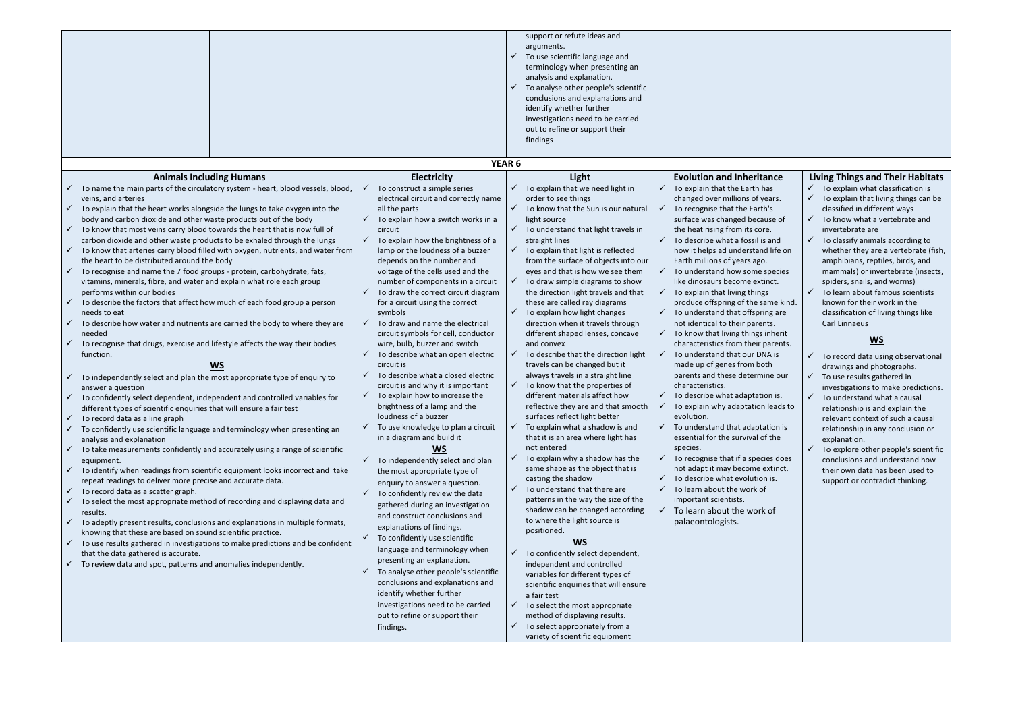$\checkmark$  To select appropriately from a variety of scientific equipment

### <u>tance</u>

has years.  $th's$ ause of is and nd life on go species tinct. same kind. ring are ents. s inherit parents.  $NA$  is oth nine our  $\sin$  is. n leads to tation is of the

cies does extinct. on is.

 $k$  of

|                                                                                                                                                             |                                                                                        | support or refute ideas and<br>arguments.<br>To use scientific language and<br>$\checkmark$<br>terminology when presenting an<br>analysis and explanation.<br>To analyse other people's scientific<br>$\checkmark$<br>conclusions and explanations and<br>identify whether further<br>investigations need to be carried<br>out to refine or support their<br>findings |                                                                                 |
|-------------------------------------------------------------------------------------------------------------------------------------------------------------|----------------------------------------------------------------------------------------|-----------------------------------------------------------------------------------------------------------------------------------------------------------------------------------------------------------------------------------------------------------------------------------------------------------------------------------------------------------------------|---------------------------------------------------------------------------------|
|                                                                                                                                                             |                                                                                        | YEAR <sub>6</sub>                                                                                                                                                                                                                                                                                                                                                     |                                                                                 |
| <b>Animals Including Humans</b>                                                                                                                             | <b>Electricity</b>                                                                     | Light                                                                                                                                                                                                                                                                                                                                                                 | <b>Evolution and Inheritar</b>                                                  |
| $\checkmark$ To name the main parts of the circulatory system - heart, blood vessels, blood,                                                                | To construct a simple series<br>✓                                                      | To explain that we need light in<br>$\checkmark$                                                                                                                                                                                                                                                                                                                      | To explain that the Earth has<br>✓                                              |
| veins, and arteries<br>$\checkmark$ To explain that the heart works alongside the lungs to take oxygen into the                                             | electrical circuit and correctly name<br>all the parts                                 | order to see things<br>$\checkmark$ To know that the Sun is our natural                                                                                                                                                                                                                                                                                               | changed over millions of yea<br>To recognise that the Earth's<br>✓              |
| body and carbon dioxide and other waste products out of the body                                                                                            | To explain how a switch works in a                                                     | light source                                                                                                                                                                                                                                                                                                                                                          | surface was changed becaus                                                      |
| $\checkmark$ To know that most veins carry blood towards the heart that is now full of                                                                      | circuit                                                                                | $\checkmark$ To understand that light travels in                                                                                                                                                                                                                                                                                                                      | the heat rising from its core.                                                  |
| carbon dioxide and other waste products to be exhaled through the lungs                                                                                     | To explain how the brightness of a<br>$\checkmark$                                     | straight lines                                                                                                                                                                                                                                                                                                                                                        | To describe what a fossil is a<br>✓                                             |
| $\checkmark$ To know that arteries carry blood filled with oxygen, nutrients, and water from                                                                | lamp or the loudness of a buzzer                                                       | $\checkmark$ To explain that light is reflected                                                                                                                                                                                                                                                                                                                       | how it helps ad understand                                                      |
| the heart to be distributed around the body<br>$\checkmark$ To recognise and name the 7 food groups - protein, carbohydrate, fats,                          | depends on the number and<br>voltage of the cells used and the                         | from the surface of objects into our<br>eyes and that is how we see them                                                                                                                                                                                                                                                                                              | Earth millions of years ago.<br>To understand how some sp<br>✓                  |
| vitamins, minerals, fibre, and water and explain what role each group                                                                                       | number of components in a circuit                                                      | To draw simple diagrams to show<br>$\checkmark$                                                                                                                                                                                                                                                                                                                       | like dinosaurs become extine                                                    |
| performs within our bodies                                                                                                                                  | To draw the correct circuit diagram                                                    | the direction light travels and that                                                                                                                                                                                                                                                                                                                                  | To explain that living things<br>$\checkmark$                                   |
| $\checkmark$ To describe the factors that affect how much of each food group a person                                                                       | for a circuit using the correct                                                        | these are called ray diagrams                                                                                                                                                                                                                                                                                                                                         | produce offspring of the san                                                    |
| needs to eat                                                                                                                                                | symbols                                                                                | To explain how light changes<br>✓                                                                                                                                                                                                                                                                                                                                     | To understand that offspring<br>✓                                               |
| To describe how water and nutrients are carried the body to where they are<br>$\checkmark$<br>needed                                                        | To draw and name the electrical<br>$\checkmark$<br>circuit symbols for cell, conductor | direction when it travels through<br>different shaped lenses, concave                                                                                                                                                                                                                                                                                                 | not identical to their parents<br>To know that living things in<br>$\checkmark$ |
| To recognise that drugs, exercise and lifestyle affects the way their bodies<br>$\checkmark$                                                                | wire, bulb, buzzer and switch                                                          | and convex                                                                                                                                                                                                                                                                                                                                                            | characteristics from their pa                                                   |
| function.                                                                                                                                                   | To describe what an open electric                                                      | To describe that the direction light                                                                                                                                                                                                                                                                                                                                  | $\checkmark$<br>To understand that our DNA                                      |
| <b>WS</b>                                                                                                                                                   | circuit is                                                                             | travels can be changed but it                                                                                                                                                                                                                                                                                                                                         | made up of genes from both                                                      |
| $\checkmark$ To independently select and plan the most appropriate type of enquiry to                                                                       | To describe what a closed electric<br>✓                                                | always travels in a straight line                                                                                                                                                                                                                                                                                                                                     | parents and these determine                                                     |
| answer a question                                                                                                                                           | circuit is and why it is important<br>To explain how to increase the<br>✓              | To know that the properties of<br>$\checkmark$<br>different materials affect how                                                                                                                                                                                                                                                                                      | characteristics.<br>$\checkmark$<br>To describe what adaptation                 |
| To confidently select dependent, independent and controlled variables for<br>different types of scientific enquiries that will ensure a fair test           | brightness of a lamp and the                                                           | reflective they are and that smooth                                                                                                                                                                                                                                                                                                                                   | To explain why adaptation le                                                    |
| To record data as a line graph<br>$\checkmark$                                                                                                              | loudness of a buzzer                                                                   | surfaces reflect light better                                                                                                                                                                                                                                                                                                                                         | evolution.                                                                      |
| To confidently use scientific language and terminology when presenting an<br>$\checkmark$                                                                   | To use knowledge to plan a circuit<br>✓                                                | To explain what a shadow is and<br>$\checkmark$                                                                                                                                                                                                                                                                                                                       | To understand that adaptati<br>✓                                                |
| analysis and explanation                                                                                                                                    | in a diagram and build it                                                              | that it is an area where light has                                                                                                                                                                                                                                                                                                                                    | essential for the survival of t                                                 |
| $\checkmark$ To take measurements confidently and accurately using a range of scientific                                                                    | <u>WS</u>                                                                              | not entered<br>$\checkmark$                                                                                                                                                                                                                                                                                                                                           | species.<br>To recognise that if a species<br>✓                                 |
| equipment.<br>$\checkmark$ To identify when readings from scientific equipment looks incorrect and take                                                     | To independently select and plan<br>$\checkmark$                                       | To explain why a shadow has the<br>same shape as the object that is                                                                                                                                                                                                                                                                                                   | not adapt it may become ext                                                     |
| repeat readings to deliver more precise and accurate data.                                                                                                  | the most appropriate type of<br>enquiry to answer a question.                          | casting the shadow                                                                                                                                                                                                                                                                                                                                                    | To describe what evolution i                                                    |
| $\checkmark$ To record data as a scatter graph.                                                                                                             | To confidently review the data<br>$\checkmark$                                         | To understand that there are<br>✓                                                                                                                                                                                                                                                                                                                                     | ✓<br>To learn about the work of                                                 |
| To select the most appropriate method of recording and displaying data and                                                                                  | gathered during an investigation                                                       | patterns in the way the size of the                                                                                                                                                                                                                                                                                                                                   | important scientists.                                                           |
| results.                                                                                                                                                    | and construct conclusions and                                                          | shadow can be changed according                                                                                                                                                                                                                                                                                                                                       | To learn about the work o<br>✓                                                  |
| To adeptly present results, conclusions and explanations in multiple formats,<br>$\checkmark$<br>knowing that these are based on sound scientific practice. | explanations of findings.                                                              | to where the light source is<br>positioned.                                                                                                                                                                                                                                                                                                                           | palaeontologists.                                                               |
| $\checkmark$ To use results gathered in investigations to make predictions and be confident                                                                 | $\checkmark$<br>To confidently use scientific                                          | <u>WS</u>                                                                                                                                                                                                                                                                                                                                                             |                                                                                 |
| that the data gathered is accurate.                                                                                                                         | language and terminology when                                                          | To confidently select dependent,<br>$\checkmark$                                                                                                                                                                                                                                                                                                                      |                                                                                 |
| To review data and spot, patterns and anomalies independently.<br>$\checkmark$                                                                              | presenting an explanation.                                                             | independent and controlled                                                                                                                                                                                                                                                                                                                                            |                                                                                 |
|                                                                                                                                                             | To analyse other people's scientific<br>✓<br>conclusions and explanations and          | variables for different types of                                                                                                                                                                                                                                                                                                                                      |                                                                                 |
|                                                                                                                                                             | identify whether further                                                               | scientific enquiries that will ensure<br>a fair test                                                                                                                                                                                                                                                                                                                  |                                                                                 |
|                                                                                                                                                             | investigations need to be carried                                                      | To select the most appropriate<br>$\checkmark$                                                                                                                                                                                                                                                                                                                        |                                                                                 |
|                                                                                                                                                             | out to refine or support their                                                         | method of displaying results.                                                                                                                                                                                                                                                                                                                                         |                                                                                 |
|                                                                                                                                                             | findings.                                                                              | To select appropriately from a                                                                                                                                                                                                                                                                                                                                        |                                                                                 |

 $\checkmark$  To explain what classification is  $\checkmark$  To explain that living things can be classified in different ways

- $\checkmark$  To know what a vertebrate and invertebrate are
- $\checkmark$  To classify animals according to whether they are a vertebrate (fish, amphibians, reptiles, birds, and mammals) or invertebrate (insects, spiders, snails, and worms)
- ✓ To learn about famous scientists known for their work in the classification of living things like Carl Linnaeus

To explore other people's scientific conclusions and understand how their own data has been used to support or contradict thinking.

### **Living Things and Their Habitats**

## **WS**

 $\checkmark$  To record data using observational drawings and photographs.  $\checkmark$  To use results gathered in

investigations to make predictions.  $\checkmark$  To understand what a causal relationship is and explain the relevant context of such a causal relationship in any conclusion or explanation.